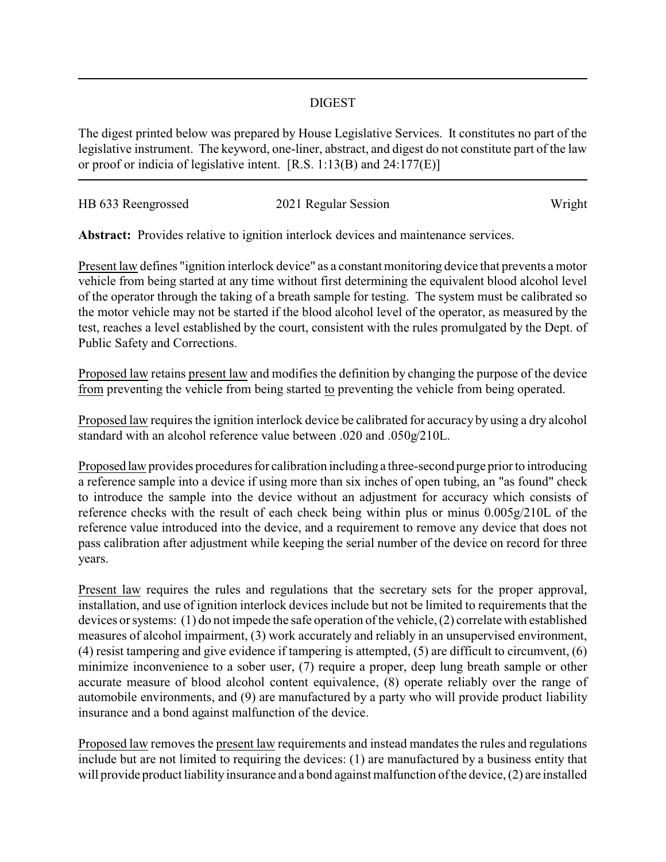## DIGEST

The digest printed below was prepared by House Legislative Services. It constitutes no part of the legislative instrument. The keyword, one-liner, abstract, and digest do not constitute part of the law or proof or indicia of legislative intent. [R.S. 1:13(B) and 24:177(E)]

| HB 633 Reengrossed | 2021 Regular Session | Wright |
|--------------------|----------------------|--------|
|                    |                      |        |

**Abstract:** Provides relative to ignition interlock devices and maintenance services.

Present law defines "ignition interlock device" as a constant monitoring device that prevents a motor vehicle from being started at any time without first determining the equivalent blood alcohol level of the operator through the taking of a breath sample for testing. The system must be calibrated so the motor vehicle may not be started if the blood alcohol level of the operator, as measured by the test, reaches a level established by the court, consistent with the rules promulgated by the Dept. of Public Safety and Corrections.

Proposed law retains present law and modifies the definition by changing the purpose of the device from preventing the vehicle from being started to preventing the vehicle from being operated.

Proposed law requires the ignition interlock device be calibrated for accuracy by using a dry alcohol standard with an alcohol reference value between .020 and .050g/210L.

Proposed law provides procedures for calibration including a three-second purge prior to introducing a reference sample into a device if using more than six inches of open tubing, an "as found" check to introduce the sample into the device without an adjustment for accuracy which consists of reference checks with the result of each check being within plus or minus 0.005g/210L of the reference value introduced into the device, and a requirement to remove any device that does not pass calibration after adjustment while keeping the serial number of the device on record for three years.

Present law requires the rules and regulations that the secretary sets for the proper approval, installation, and use of ignition interlock devices include but not be limited to requirements that the devices or systems: (1) do not impede the safe operation of the vehicle, (2) correlate with established measures of alcohol impairment, (3) work accurately and reliably in an unsupervised environment, (4) resist tampering and give evidence if tampering is attempted, (5) are difficult to circumvent, (6) minimize inconvenience to a sober user, (7) require a proper, deep lung breath sample or other accurate measure of blood alcohol content equivalence, (8) operate reliably over the range of automobile environments, and (9) are manufactured by a party who will provide product liability insurance and a bond against malfunction of the device.

Proposed law removes the present law requirements and instead mandates the rules and regulations include but are not limited to requiring the devices: (1) are manufactured by a business entity that will provide product liability insurance and a bond against malfunction of the device, (2) are installed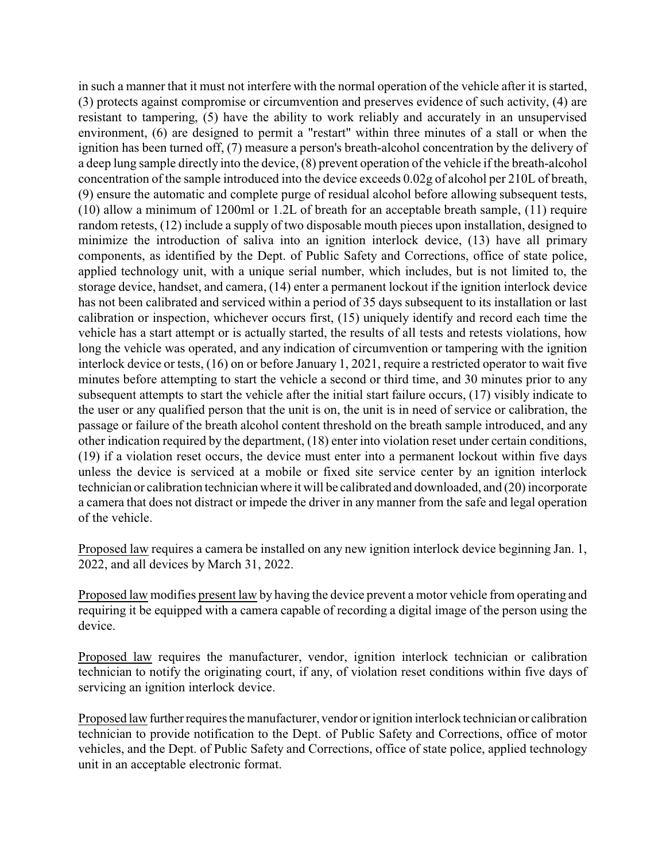in such a manner that it must not interfere with the normal operation of the vehicle after it is started, (3) protects against compromise or circumvention and preserves evidence of such activity, (4) are resistant to tampering, (5) have the ability to work reliably and accurately in an unsupervised environment, (6) are designed to permit a "restart" within three minutes of a stall or when the ignition has been turned off, (7) measure a person's breath-alcohol concentration by the delivery of a deep lung sample directly into the device, (8) prevent operation of the vehicle if the breath-alcohol concentration of the sample introduced into the device exceeds 0.02g of alcohol per 210L of breath, (9) ensure the automatic and complete purge of residual alcohol before allowing subsequent tests, (10) allow a minimum of 1200ml or 1.2L of breath for an acceptable breath sample, (11) require random retests, (12) include a supply of two disposable mouth pieces upon installation, designed to minimize the introduction of saliva into an ignition interlock device, (13) have all primary components, as identified by the Dept. of Public Safety and Corrections, office of state police, applied technology unit, with a unique serial number, which includes, but is not limited to, the storage device, handset, and camera, (14) enter a permanent lockout if the ignition interlock device has not been calibrated and serviced within a period of 35 days subsequent to its installation or last calibration or inspection, whichever occurs first, (15) uniquely identify and record each time the vehicle has a start attempt or is actually started, the results of all tests and retests violations, how long the vehicle was operated, and any indication of circumvention or tampering with the ignition interlock device or tests, (16) on or before January 1, 2021, require a restricted operator to wait five minutes before attempting to start the vehicle a second or third time, and 30 minutes prior to any subsequent attempts to start the vehicle after the initial start failure occurs, (17) visibly indicate to the user or any qualified person that the unit is on, the unit is in need of service or calibration, the passage or failure of the breath alcohol content threshold on the breath sample introduced, and any other indication required by the department, (18) enter into violation reset under certain conditions, (19) if a violation reset occurs, the device must enter into a permanent lockout within five days unless the device is serviced at a mobile or fixed site service center by an ignition interlock technician or calibration technician where it will be calibrated and downloaded, and (20) incorporate a camera that does not distract or impede the driver in any manner from the safe and legal operation of the vehicle.

Proposed law requires a camera be installed on any new ignition interlock device beginning Jan. 1, 2022, and all devices by March 31, 2022.

Proposed law modifies present law by having the device prevent a motor vehicle from operating and requiring it be equipped with a camera capable of recording a digital image of the person using the device.

Proposed law requires the manufacturer, vendor, ignition interlock technician or calibration technician to notify the originating court, if any, of violation reset conditions within five days of servicing an ignition interlock device.

Proposed law further requires the manufacturer, vendor or ignition interlock technician or calibration technician to provide notification to the Dept. of Public Safety and Corrections, office of motor vehicles, and the Dept. of Public Safety and Corrections, office of state police, applied technology unit in an acceptable electronic format.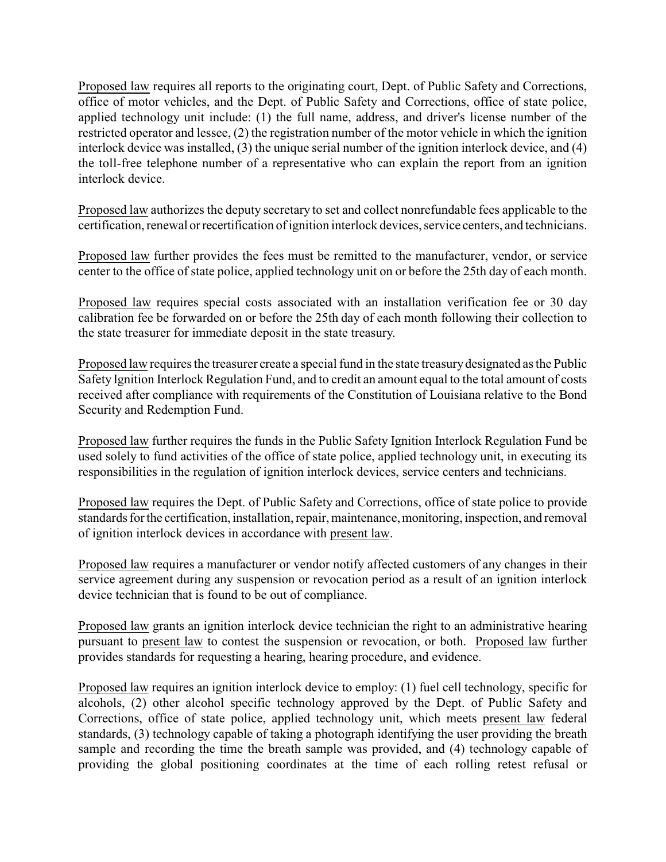Proposed law requires all reports to the originating court, Dept. of Public Safety and Corrections, office of motor vehicles, and the Dept. of Public Safety and Corrections, office of state police, applied technology unit include: (1) the full name, address, and driver's license number of the restricted operator and lessee, (2) the registration number of the motor vehicle in which the ignition interlock device was installed, (3) the unique serial number of the ignition interlock device, and (4) the toll-free telephone number of a representative who can explain the report from an ignition interlock device.

Proposed law authorizes the deputy secretary to set and collect nonrefundable fees applicable to the certification, renewal or recertification of ignition interlock devices, service centers, and technicians.

Proposed law further provides the fees must be remitted to the manufacturer, vendor, or service center to the office of state police, applied technology unit on or before the 25th day of each month.

Proposed law requires special costs associated with an installation verification fee or 30 day calibration fee be forwarded on or before the 25th day of each month following their collection to the state treasurer for immediate deposit in the state treasury.

Proposed law requires the treasurer create a special fund in the state treasurydesignated as the Public Safety Ignition Interlock Regulation Fund, and to credit an amount equal to the total amount of costs received after compliance with requirements of the Constitution of Louisiana relative to the Bond Security and Redemption Fund.

Proposed law further requires the funds in the Public Safety Ignition Interlock Regulation Fund be used solely to fund activities of the office of state police, applied technology unit, in executing its responsibilities in the regulation of ignition interlock devices, service centers and technicians.

Proposed law requires the Dept. of Public Safety and Corrections, office of state police to provide standards for the certification, installation, repair, maintenance, monitoring, inspection, and removal of ignition interlock devices in accordance with present law.

Proposed law requires a manufacturer or vendor notify affected customers of any changes in their service agreement during any suspension or revocation period as a result of an ignition interlock device technician that is found to be out of compliance.

Proposed law grants an ignition interlock device technician the right to an administrative hearing pursuant to present law to contest the suspension or revocation, or both. Proposed law further provides standards for requesting a hearing, hearing procedure, and evidence.

Proposed law requires an ignition interlock device to employ: (1) fuel cell technology, specific for alcohols, (2) other alcohol specific technology approved by the Dept. of Public Safety and Corrections, office of state police, applied technology unit, which meets present law federal standards, (3) technology capable of taking a photograph identifying the user providing the breath sample and recording the time the breath sample was provided, and (4) technology capable of providing the global positioning coordinates at the time of each rolling retest refusal or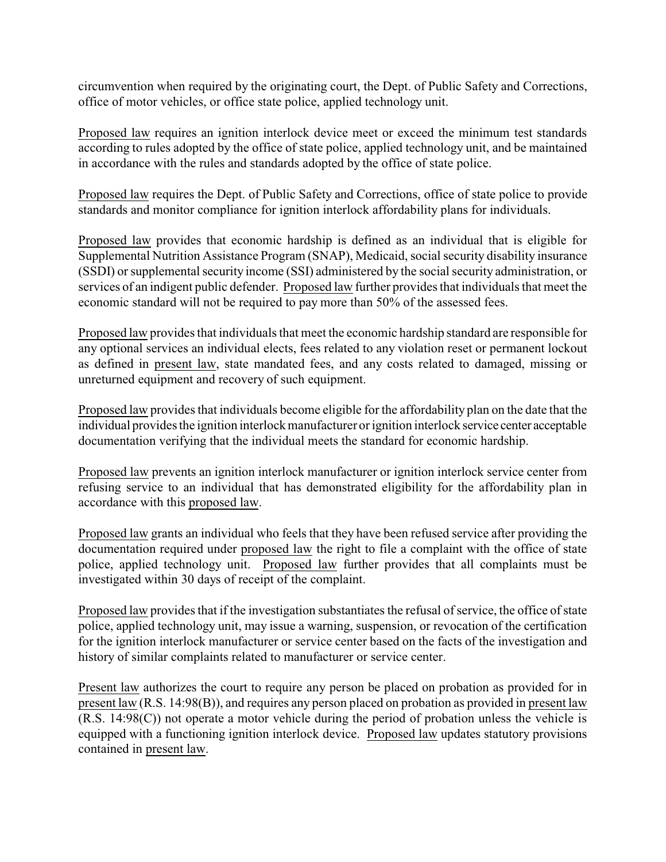circumvention when required by the originating court, the Dept. of Public Safety and Corrections, office of motor vehicles, or office state police, applied technology unit.

Proposed law requires an ignition interlock device meet or exceed the minimum test standards according to rules adopted by the office of state police, applied technology unit, and be maintained in accordance with the rules and standards adopted by the office of state police.

Proposed law requires the Dept. of Public Safety and Corrections, office of state police to provide standards and monitor compliance for ignition interlock affordability plans for individuals.

Proposed law provides that economic hardship is defined as an individual that is eligible for Supplemental Nutrition Assistance Program (SNAP), Medicaid, social security disability insurance (SSDI) or supplemental security income (SSI) administered by the social security administration, or services of an indigent public defender. Proposed law further provides that individuals that meet the economic standard will not be required to pay more than 50% of the assessed fees.

Proposed law provides that individuals that meet the economic hardship standard are responsible for any optional services an individual elects, fees related to any violation reset or permanent lockout as defined in present law, state mandated fees, and any costs related to damaged, missing or unreturned equipment and recovery of such equipment.

Proposed law provides that individuals become eligible for the affordability plan on the date that the individual provides the ignition interlock manufacturer or ignition interlock service center acceptable documentation verifying that the individual meets the standard for economic hardship.

Proposed law prevents an ignition interlock manufacturer or ignition interlock service center from refusing service to an individual that has demonstrated eligibility for the affordability plan in accordance with this proposed law.

Proposed law grants an individual who feels that they have been refused service after providing the documentation required under proposed law the right to file a complaint with the office of state police, applied technology unit. Proposed law further provides that all complaints must be investigated within 30 days of receipt of the complaint.

Proposed law provides that if the investigation substantiates the refusal of service, the office of state police, applied technology unit, may issue a warning, suspension, or revocation of the certification for the ignition interlock manufacturer or service center based on the facts of the investigation and history of similar complaints related to manufacturer or service center.

Present law authorizes the court to require any person be placed on probation as provided for in present law (R.S. 14:98(B)), and requires any person placed on probation as provided in present law (R.S. 14:98(C)) not operate a motor vehicle during the period of probation unless the vehicle is equipped with a functioning ignition interlock device. Proposed law updates statutory provisions contained in present law.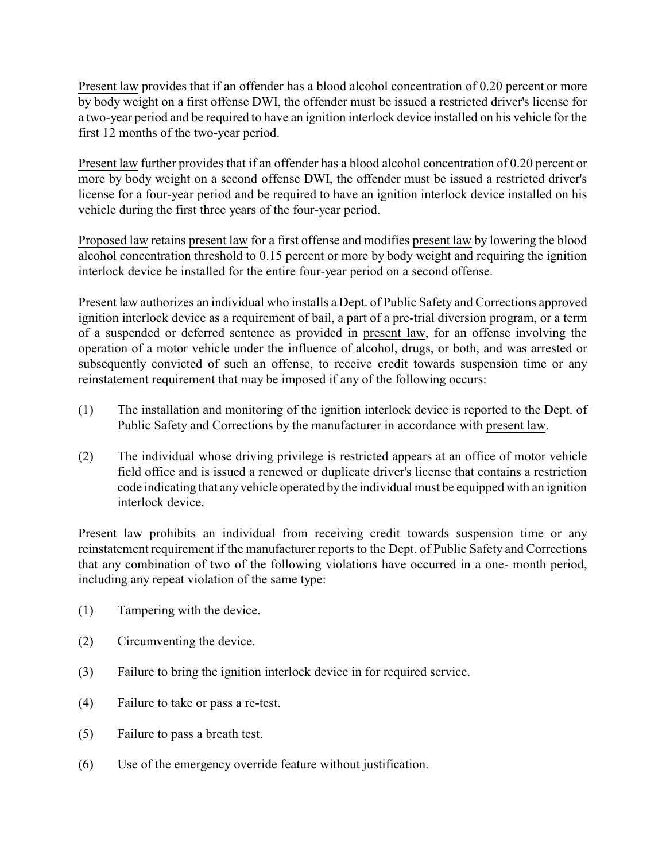Present law provides that if an offender has a blood alcohol concentration of 0.20 percent or more by body weight on a first offense DWI, the offender must be issued a restricted driver's license for a two-year period and be required to have an ignition interlock device installed on his vehicle for the first 12 months of the two-year period.

Present law further provides that if an offender has a blood alcohol concentration of 0.20 percent or more by body weight on a second offense DWI, the offender must be issued a restricted driver's license for a four-year period and be required to have an ignition interlock device installed on his vehicle during the first three years of the four-year period.

Proposed law retains present law for a first offense and modifies present law by lowering the blood alcohol concentration threshold to 0.15 percent or more by body weight and requiring the ignition interlock device be installed for the entire four-year period on a second offense.

Present law authorizes an individual who installs a Dept. of Public Safety and Corrections approved ignition interlock device as a requirement of bail, a part of a pre-trial diversion program, or a term of a suspended or deferred sentence as provided in present law, for an offense involving the operation of a motor vehicle under the influence of alcohol, drugs, or both, and was arrested or subsequently convicted of such an offense, to receive credit towards suspension time or any reinstatement requirement that may be imposed if any of the following occurs:

- (1) The installation and monitoring of the ignition interlock device is reported to the Dept. of Public Safety and Corrections by the manufacturer in accordance with present law.
- (2) The individual whose driving privilege is restricted appears at an office of motor vehicle field office and is issued a renewed or duplicate driver's license that contains a restriction code indicating that any vehicle operated bythe individual must be equipped with an ignition interlock device.

Present law prohibits an individual from receiving credit towards suspension time or any reinstatement requirement if the manufacturer reports to the Dept. of Public Safety and Corrections that any combination of two of the following violations have occurred in a one- month period, including any repeat violation of the same type:

- (1) Tampering with the device.
- (2) Circumventing the device.
- (3) Failure to bring the ignition interlock device in for required service.
- (4) Failure to take or pass a re-test.
- (5) Failure to pass a breath test.
- (6) Use of the emergency override feature without justification.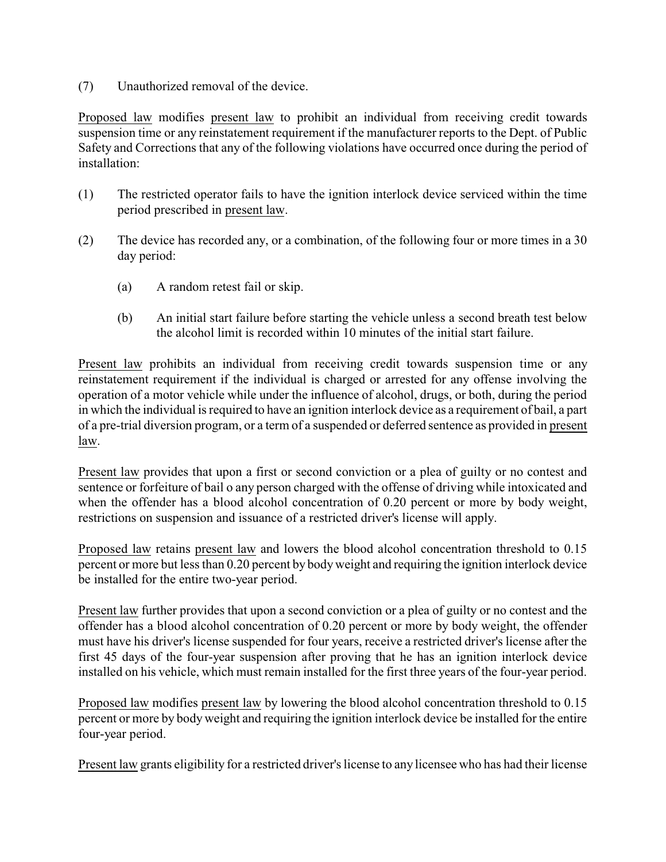(7) Unauthorized removal of the device.

Proposed law modifies present law to prohibit an individual from receiving credit towards suspension time or any reinstatement requirement if the manufacturer reports to the Dept. of Public Safety and Corrections that any of the following violations have occurred once during the period of installation:

- (1) The restricted operator fails to have the ignition interlock device serviced within the time period prescribed in present law.
- (2) The device has recorded any, or a combination, of the following four or more times in a 30 day period:
	- (a) A random retest fail or skip.
	- (b) An initial start failure before starting the vehicle unless a second breath test below the alcohol limit is recorded within 10 minutes of the initial start failure.

Present law prohibits an individual from receiving credit towards suspension time or any reinstatement requirement if the individual is charged or arrested for any offense involving the operation of a motor vehicle while under the influence of alcohol, drugs, or both, during the period in which the individual is required to have an ignition interlock device as a requirement of bail, a part of a pre-trial diversion program, or a term of a suspended or deferred sentence as provided in present law.

Present law provides that upon a first or second conviction or a plea of guilty or no contest and sentence or forfeiture of bail o any person charged with the offense of driving while intoxicated and when the offender has a blood alcohol concentration of 0.20 percent or more by body weight, restrictions on suspension and issuance of a restricted driver's license will apply.

Proposed law retains present law and lowers the blood alcohol concentration threshold to 0.15 percent or more but less than 0.20 percent by bodyweight and requiring the ignition interlock device be installed for the entire two-year period.

Present law further provides that upon a second conviction or a plea of guilty or no contest and the offender has a blood alcohol concentration of 0.20 percent or more by body weight, the offender must have his driver's license suspended for four years, receive a restricted driver's license after the first 45 days of the four-year suspension after proving that he has an ignition interlock device installed on his vehicle, which must remain installed for the first three years of the four-year period.

Proposed law modifies present law by lowering the blood alcohol concentration threshold to 0.15 percent or more by body weight and requiring the ignition interlock device be installed for the entire four-year period.

Present law grants eligibility for a restricted driver's license to any licensee who has had their license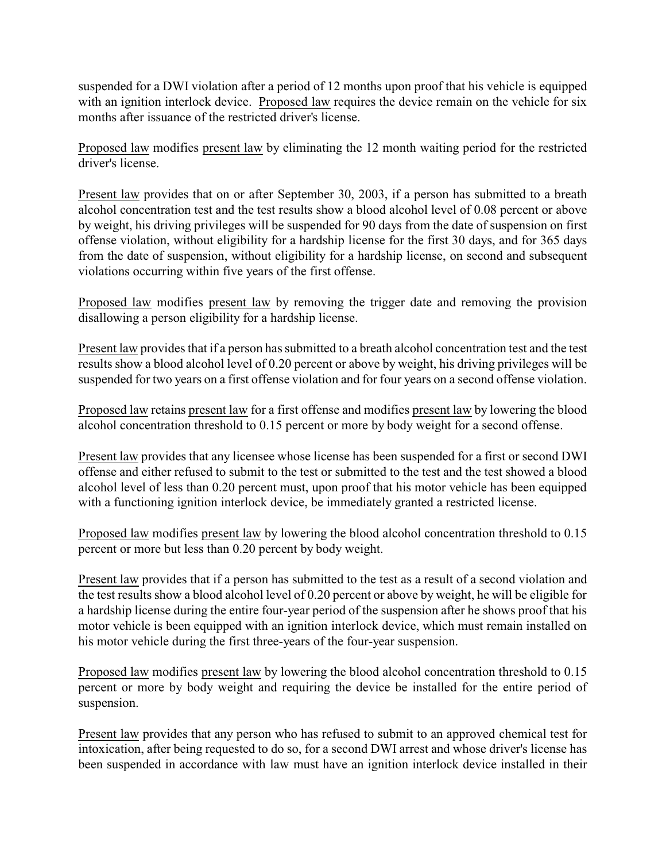suspended for a DWI violation after a period of 12 months upon proof that his vehicle is equipped with an ignition interlock device. Proposed law requires the device remain on the vehicle for six months after issuance of the restricted driver's license.

Proposed law modifies present law by eliminating the 12 month waiting period for the restricted driver's license.

Present law provides that on or after September 30, 2003, if a person has submitted to a breath alcohol concentration test and the test results show a blood alcohol level of 0.08 percent or above by weight, his driving privileges will be suspended for 90 days from the date of suspension on first offense violation, without eligibility for a hardship license for the first 30 days, and for 365 days from the date of suspension, without eligibility for a hardship license, on second and subsequent violations occurring within five years of the first offense.

Proposed law modifies present law by removing the trigger date and removing the provision disallowing a person eligibility for a hardship license.

Present law provides that if a person has submitted to a breath alcohol concentration test and the test results show a blood alcohol level of 0.20 percent or above by weight, his driving privileges will be suspended for two years on a first offense violation and for four years on a second offense violation.

Proposed law retains present law for a first offense and modifies present law by lowering the blood alcohol concentration threshold to 0.15 percent or more by body weight for a second offense.

Present law provides that any licensee whose license has been suspended for a first or second DWI offense and either refused to submit to the test or submitted to the test and the test showed a blood alcohol level of less than 0.20 percent must, upon proof that his motor vehicle has been equipped with a functioning ignition interlock device, be immediately granted a restricted license.

Proposed law modifies present law by lowering the blood alcohol concentration threshold to 0.15 percent or more but less than 0.20 percent by body weight.

Present law provides that if a person has submitted to the test as a result of a second violation and the test results show a blood alcohol level of 0.20 percent or above by weight, he will be eligible for a hardship license during the entire four-year period of the suspension after he shows proof that his motor vehicle is been equipped with an ignition interlock device, which must remain installed on his motor vehicle during the first three-years of the four-year suspension.

Proposed law modifies present law by lowering the blood alcohol concentration threshold to 0.15 percent or more by body weight and requiring the device be installed for the entire period of suspension.

Present law provides that any person who has refused to submit to an approved chemical test for intoxication, after being requested to do so, for a second DWI arrest and whose driver's license has been suspended in accordance with law must have an ignition interlock device installed in their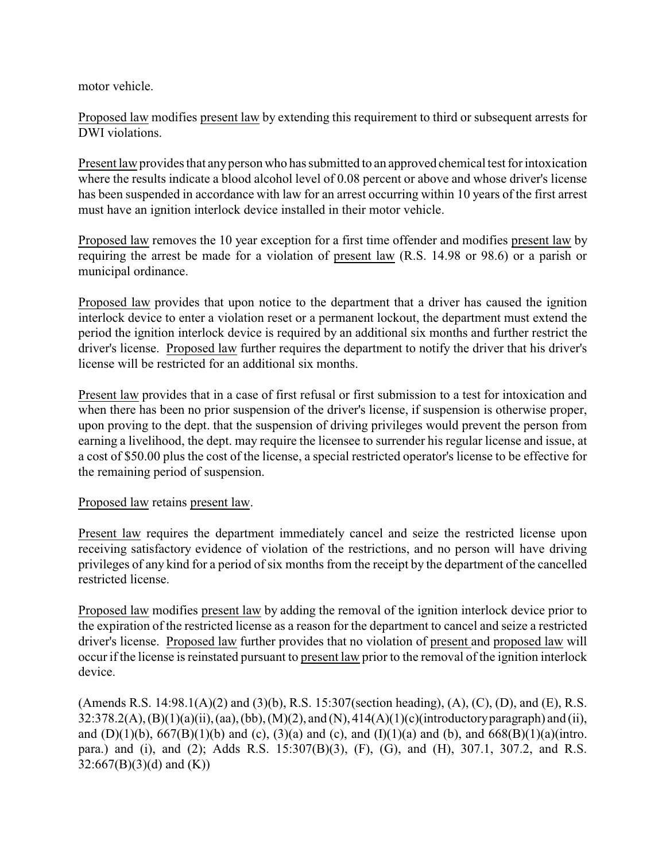motor vehicle.

Proposed law modifies present law by extending this requirement to third or subsequent arrests for DWI violations.

Present law provides that anyperson who has submitted to an approved chemical test for intoxication where the results indicate a blood alcohol level of 0.08 percent or above and whose driver's license has been suspended in accordance with law for an arrest occurring within 10 years of the first arrest must have an ignition interlock device installed in their motor vehicle.

Proposed law removes the 10 year exception for a first time offender and modifies present law by requiring the arrest be made for a violation of present law (R.S. 14.98 or 98.6) or a parish or municipal ordinance.

Proposed law provides that upon notice to the department that a driver has caused the ignition interlock device to enter a violation reset or a permanent lockout, the department must extend the period the ignition interlock device is required by an additional six months and further restrict the driver's license. Proposed law further requires the department to notify the driver that his driver's license will be restricted for an additional six months.

Present law provides that in a case of first refusal or first submission to a test for intoxication and when there has been no prior suspension of the driver's license, if suspension is otherwise proper, upon proving to the dept. that the suspension of driving privileges would prevent the person from earning a livelihood, the dept. may require the licensee to surrender his regular license and issue, at a cost of \$50.00 plus the cost of the license, a special restricted operator's license to be effective for the remaining period of suspension.

## Proposed law retains present law.

Present law requires the department immediately cancel and seize the restricted license upon receiving satisfactory evidence of violation of the restrictions, and no person will have driving privileges of any kind for a period of six months from the receipt by the department of the cancelled restricted license.

Proposed law modifies present law by adding the removal of the ignition interlock device prior to the expiration of the restricted license as a reason for the department to cancel and seize a restricted driver's license. Proposed law further provides that no violation of present and proposed law will occur if the license is reinstated pursuant to present law prior to the removal of the ignition interlock device.

(Amends R.S. 14:98.1(A)(2) and (3)(b), R.S. 15:307(section heading), (A), (C), (D), and (E), R.S. 32:378.2(A), (B)(1)(a)(ii), (aa), (bb), (M)(2), and (N), 414(A)(1)(c)(introductoryparagraph) and (ii), and (D)(1)(b),  $667(B)(1)$ (b) and (c),  $(3)$ (a) and (c), and  $(I)(1)$ (a) and (b), and  $668(B)(1)$ (a)(intro. para.) and (i), and (2); Adds R.S. 15:307(B)(3), (F), (G), and (H), 307.1, 307.2, and R.S.  $32:667(B)(3)(d)$  and  $(K)$ )